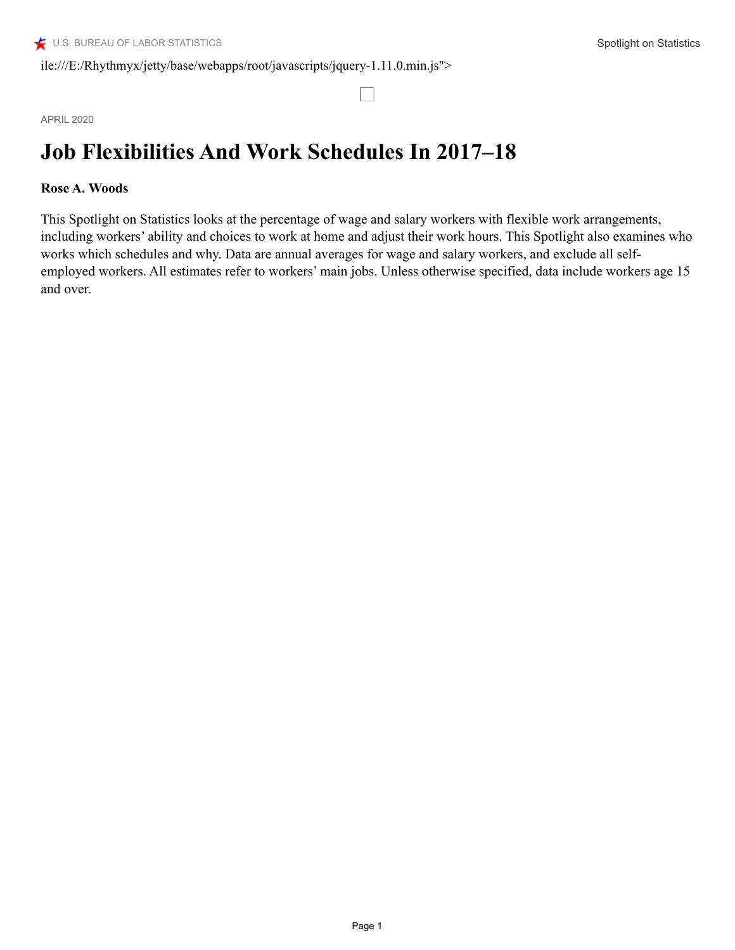APRIL 2020

# **Job Flexibilities And Work Schedules In 2017–18**

#### **Rose A. Woods**

This Spotlight on Statistics looks at the percentage of wage and salary workers with flexible work arrangements, including workers' ability and choices to work at home and adjust their work hours. This Spotlight also examines who works which schedules and why. Data are annual averages for wage and salary workers, and exclude all selfemployed workers. All estimates refer to workers' main jobs. Unless otherwise specified, data include workers age 15 and over.

H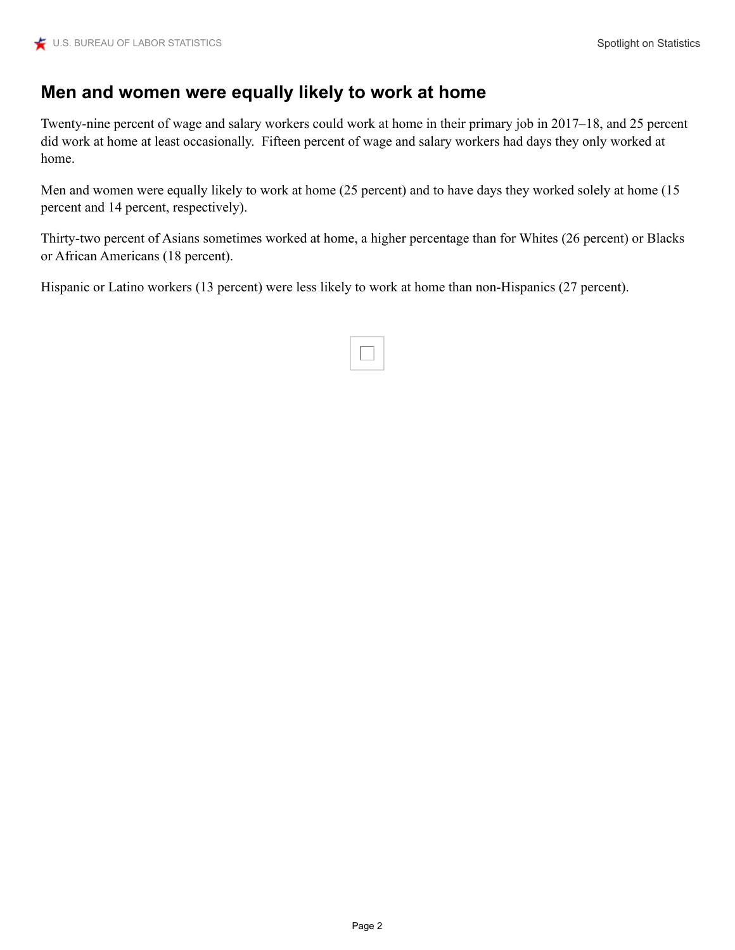# **Men and women were equally likely to work at home**

Twenty-nine percent of wage and salary workers could work at home in their primary job in 2017–18, and 25 percent did work at home at least occasionally. Fifteen percent of wage and salary workers had days they only worked at home.

Men and women were equally likely to work at home (25 percent) and to have days they worked solely at home (15 percent and 14 percent, respectively).

Thirty-two percent of Asians sometimes worked at home, a higher percentage than for Whites (26 percent) or Blacks or African Americans (18 percent).

Hispanic or Latino workers (13 percent) were less likely to work at home than non-Hispanics (27 percent).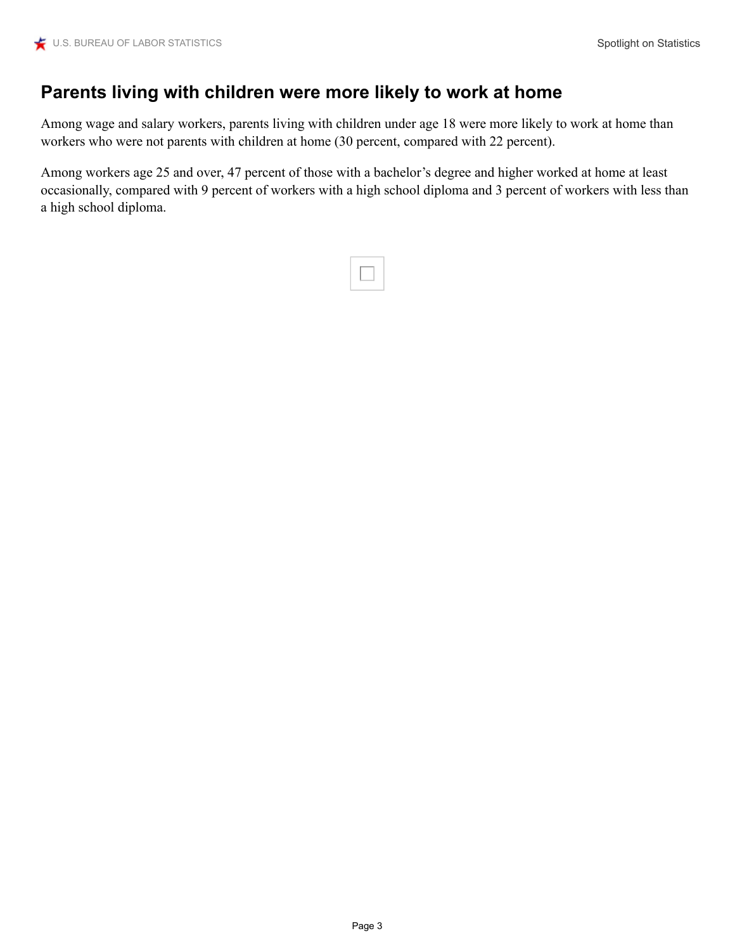# **Parents living with children were more likely to work at home**

Among wage and salary workers, parents living with children under age 18 were more likely to work at home than workers who were not parents with children at home (30 percent, compared with 22 percent).

Among workers age 25 and over, 47 percent of those with a bachelor's degree and higher worked at home at least occasionally, compared with 9 percent of workers with a high school diploma and 3 percent of workers with less than a high school diploma.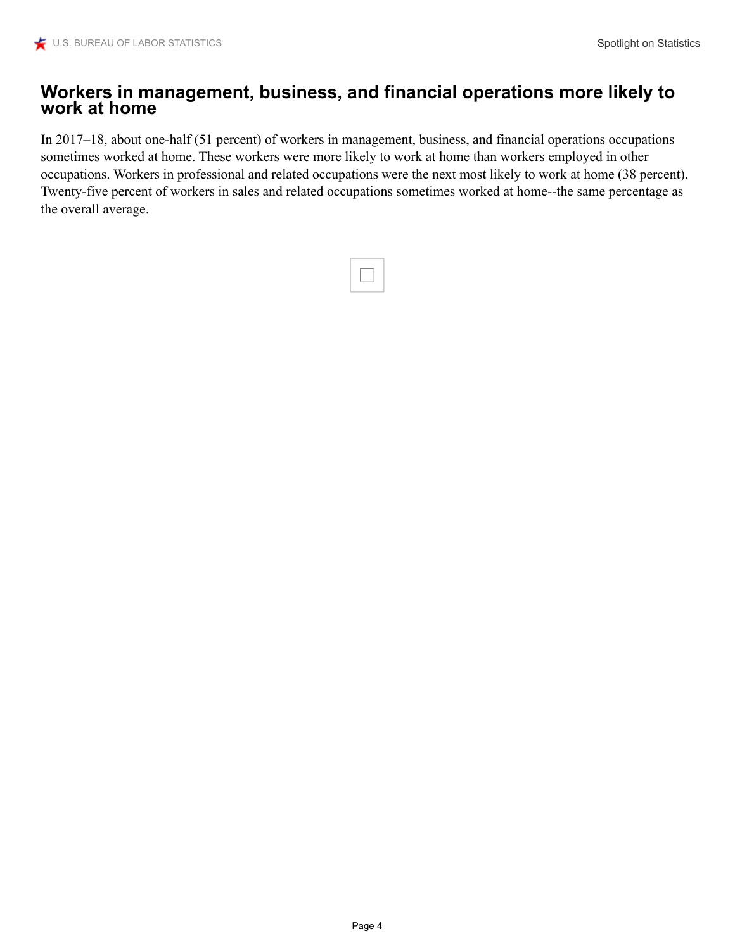#### **Workers in management, business, and financial operations more likely to work at home**

In 2017–18, about one-half (51 percent) of workers in management, business, and financial operations occupations sometimes worked at home. These workers were more likely to work at home than workers employed in other occupations. Workers in professional and related occupations were the next most likely to work at home (38 percent). Twenty-five percent of workers in sales and related occupations sometimes worked at home--the same percentage as the overall average.

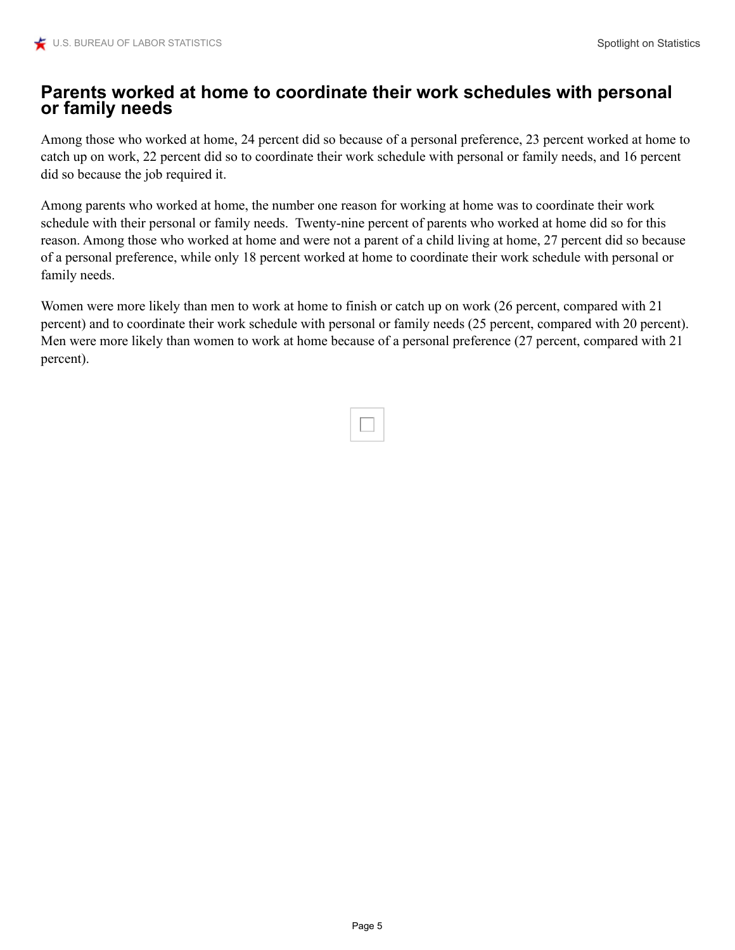#### **Parents worked at home to coordinate their work schedules with personal or family needs**

Among those who worked at home, 24 percent did so because of a personal preference, 23 percent worked at home to catch up on work, 22 percent did so to coordinate their work schedule with personal or family needs, and 16 percent did so because the job required it.

Among parents who worked at home, the number one reason for working at home was to coordinate their work schedule with their personal or family needs. Twenty-nine percent of parents who worked at home did so for this reason. Among those who worked at home and were not a parent of a child living at home, 27 percent did so because of a personal preference, while only 18 percent worked at home to coordinate their work schedule with personal or family needs.

Women were more likely than men to work at home to finish or catch up on work (26 percent, compared with 21 percent) and to coordinate their work schedule with personal or family needs (25 percent, compared with 20 percent). Men were more likely than women to work at home because of a personal preference (27 percent, compared with 21 percent).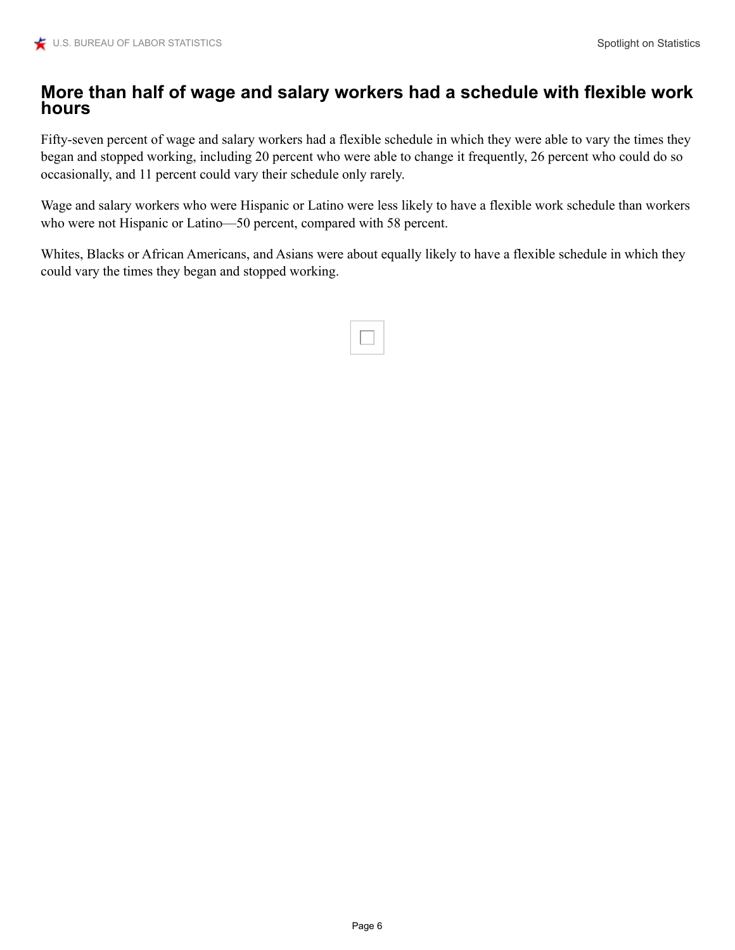#### **More than half of wage and salary workers had a schedule with flexible work hours**

Fifty-seven percent of wage and salary workers had a flexible schedule in which they were able to vary the times they began and stopped working, including 20 percent who were able to change it frequently, 26 percent who could do so occasionally, and 11 percent could vary their schedule only rarely.

Wage and salary workers who were Hispanic or Latino were less likely to have a flexible work schedule than workers who were not Hispanic or Latino—50 percent, compared with 58 percent.

Whites, Blacks or African Americans, and Asians were about equally likely to have a flexible schedule in which they could vary the times they began and stopped working.

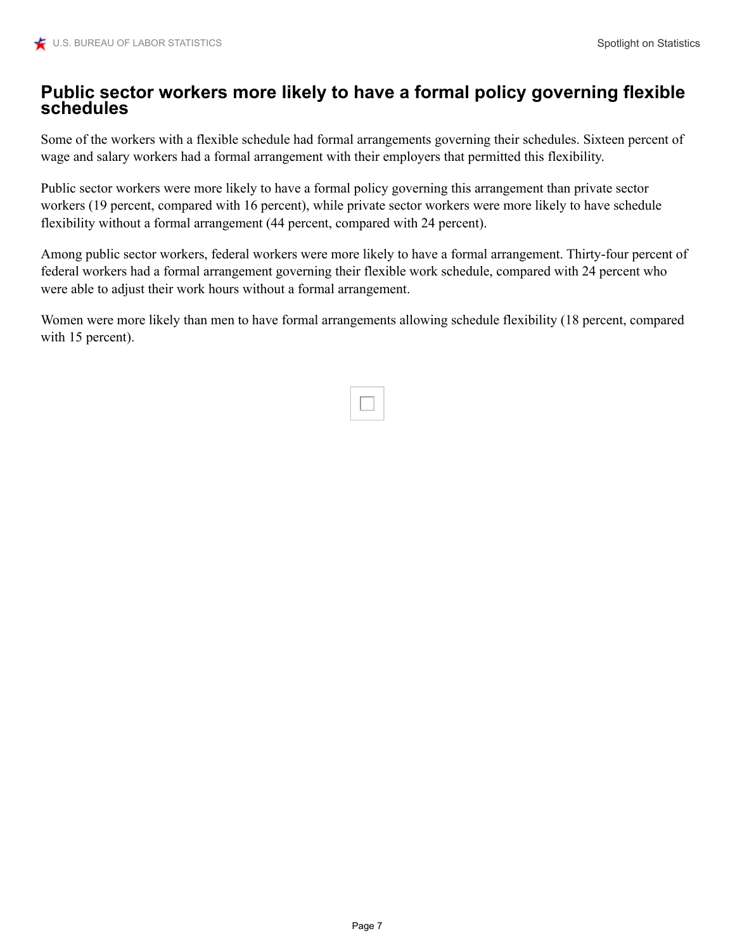#### **Public sector workers more likely to have a formal policy governing flexible schedules**

Some of the workers with a flexible schedule had formal arrangements governing their schedules. Sixteen percent of wage and salary workers had a formal arrangement with their employers that permitted this flexibility.

Public sector workers were more likely to have a formal policy governing this arrangement than private sector workers (19 percent, compared with 16 percent), while private sector workers were more likely to have schedule flexibility without a formal arrangement (44 percent, compared with 24 percent).

Among public sector workers, federal workers were more likely to have a formal arrangement. Thirty-four percent of federal workers had a formal arrangement governing their flexible work schedule, compared with 24 percent who were able to adjust their work hours without a formal arrangement.

Women were more likely than men to have formal arrangements allowing schedule flexibility (18 percent, compared with 15 percent).

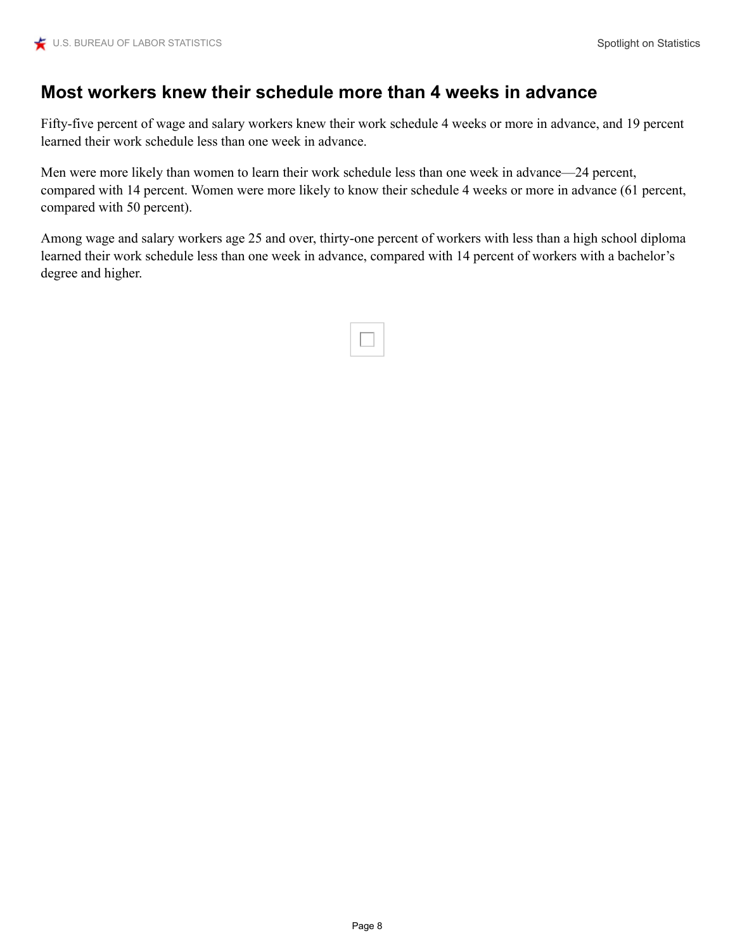#### **Most workers knew their schedule more than 4 weeks in advance**

Fifty-five percent of wage and salary workers knew their work schedule 4 weeks or more in advance, and 19 percent learned their work schedule less than one week in advance.

Men were more likely than women to learn their work schedule less than one week in advance—24 percent, compared with 14 percent. Women were more likely to know their schedule 4 weeks or more in advance (61 percent, compared with 50 percent).

Among wage and salary workers age 25 and over, thirty-one percent of workers with less than a high school diploma learned their work schedule less than one week in advance, compared with 14 percent of workers with a bachelor's degree and higher.

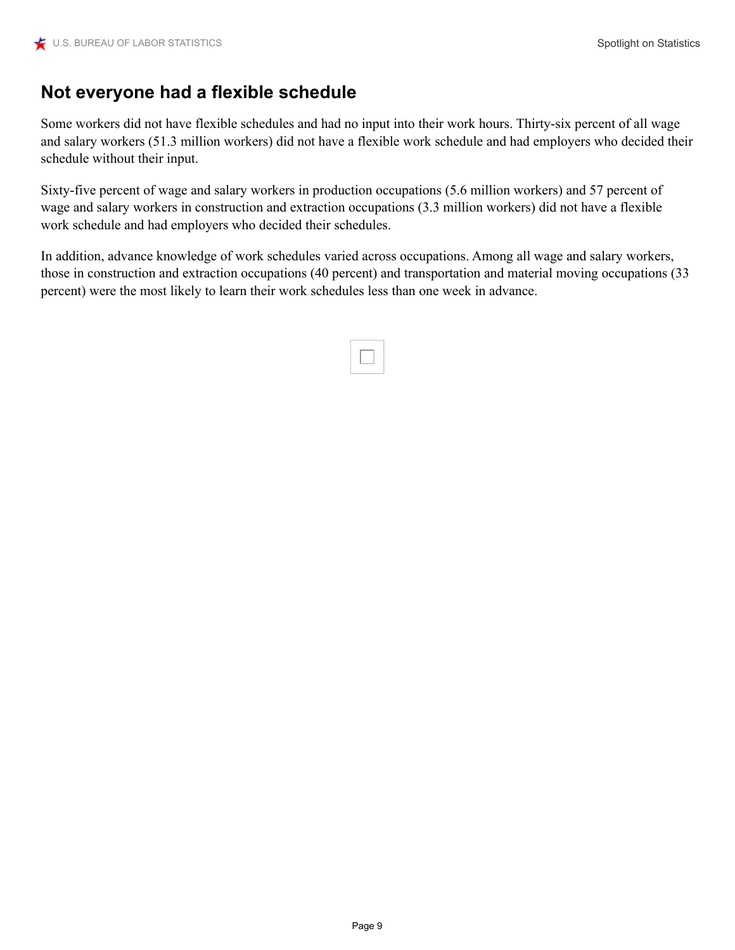# **Not everyone had a flexible schedule**

Some workers did not have flexible schedules and had no input into their work hours. Thirty-six percent of all wage and salary workers (51.3 million workers) did not have a flexible work schedule and had employers who decided their schedule without their input.

Sixty-five percent of wage and salary workers in production occupations (5.6 million workers) and 57 percent of wage and salary workers in construction and extraction occupations (3.3 million workers) did not have a flexible work schedule and had employers who decided their schedules.

In addition, advance knowledge of work schedules varied across occupations. Among all wage and salary workers, those in construction and extraction occupations (40 percent) and transportation and material moving occupations (33 percent) were the most likely to learn their work schedules less than one week in advance.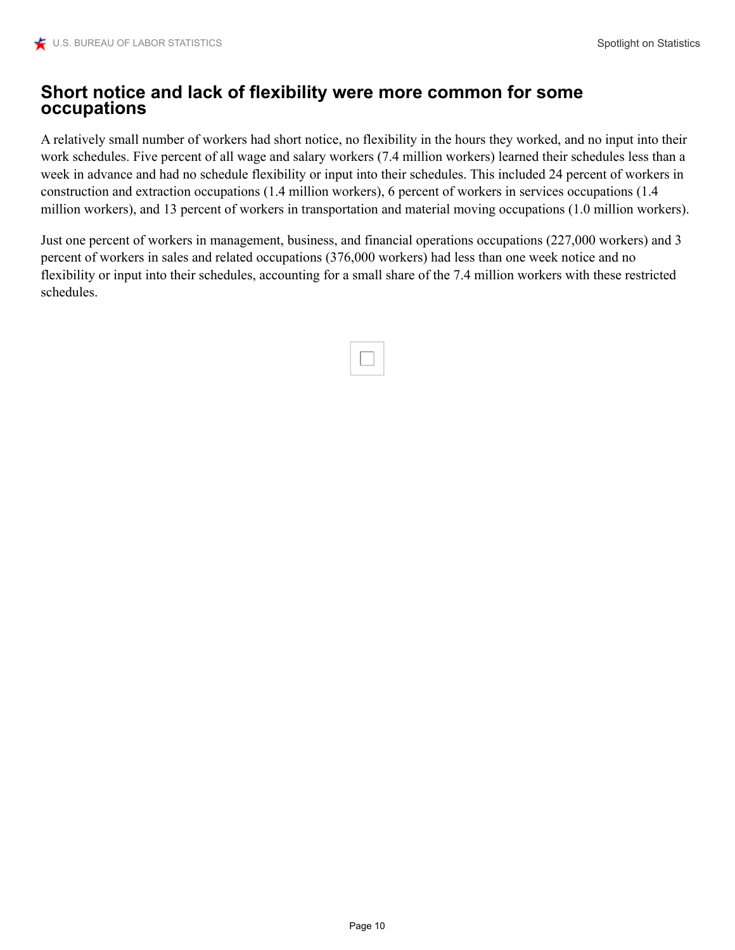#### **Short notice and lack of flexibility were more common for some occupations**

A relatively small number of workers had short notice, no flexibility in the hours they worked, and no input into their work schedules. Five percent of all wage and salary workers (7.4 million workers) learned their schedules less than a week in advance and had no schedule flexibility or input into their schedules. This included 24 percent of workers in construction and extraction occupations (1.4 million workers), 6 percent of workers in services occupations (1.4 million workers), and 13 percent of workers in transportation and material moving occupations (1.0 million workers).

Just one percent of workers in management, business, and financial operations occupations (227,000 workers) and 3 percent of workers in sales and related occupations (376,000 workers) had less than one week notice and no flexibility or input into their schedules, accounting for a small share of the 7.4 million workers with these restricted schedules.

Page 10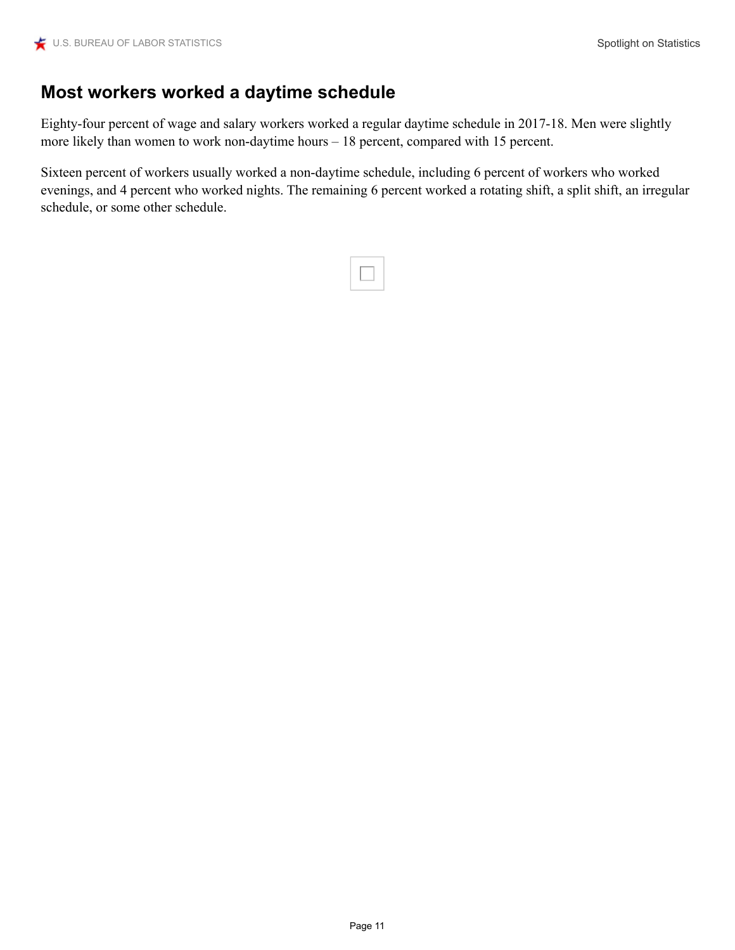# **Most workers worked a daytime schedule**

Eighty-four percent of wage and salary workers worked a regular daytime schedule in 2017-18. Men were slightly more likely than women to work non-daytime hours – 18 percent, compared with 15 percent.

Sixteen percent of workers usually worked a non-daytime schedule, including 6 percent of workers who worked evenings, and 4 percent who worked nights. The remaining 6 percent worked a rotating shift, a split shift, an irregular schedule, or some other schedule.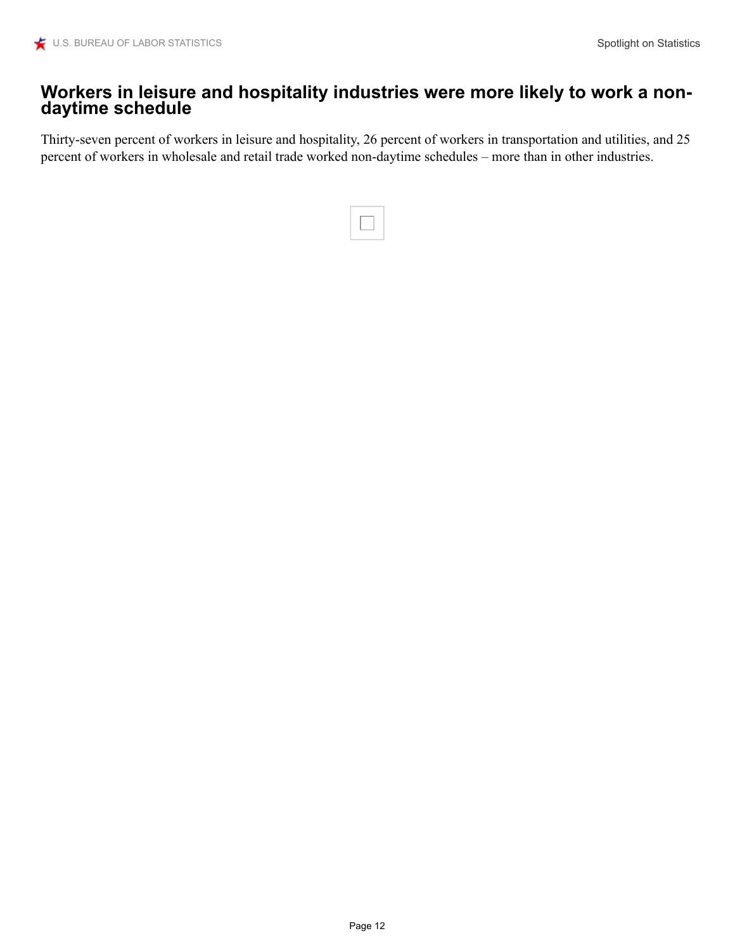#### **Workers in leisure and hospitality industries were more likely to work a nondaytime schedule**

Thirty-seven percent of workers in leisure and hospitality, 26 percent of workers in transportation and utilities, and 25 percent of workers in wholesale and retail trade worked non-daytime schedules – more than in other industries.

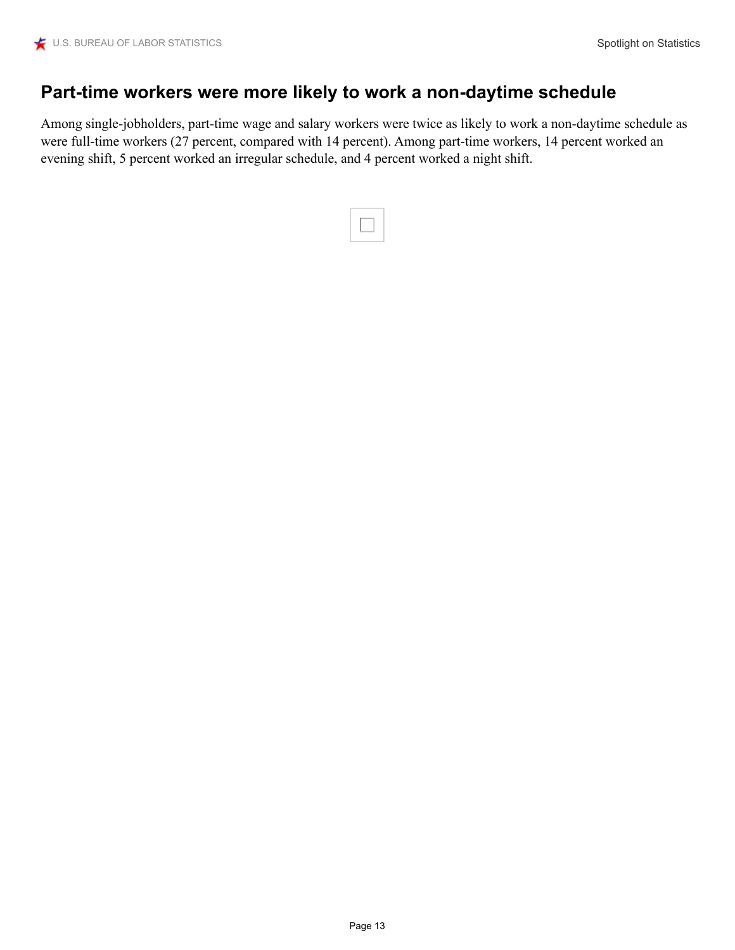# **Part-time workers were more likely to work a non-daytime schedule**

Among single-jobholders, part-time wage and salary workers were twice as likely to work a non-daytime schedule as were full-time workers (27 percent, compared with 14 percent). Among part-time workers, 14 percent worked an evening shift, 5 percent worked an irregular schedule, and 4 percent worked a night shift.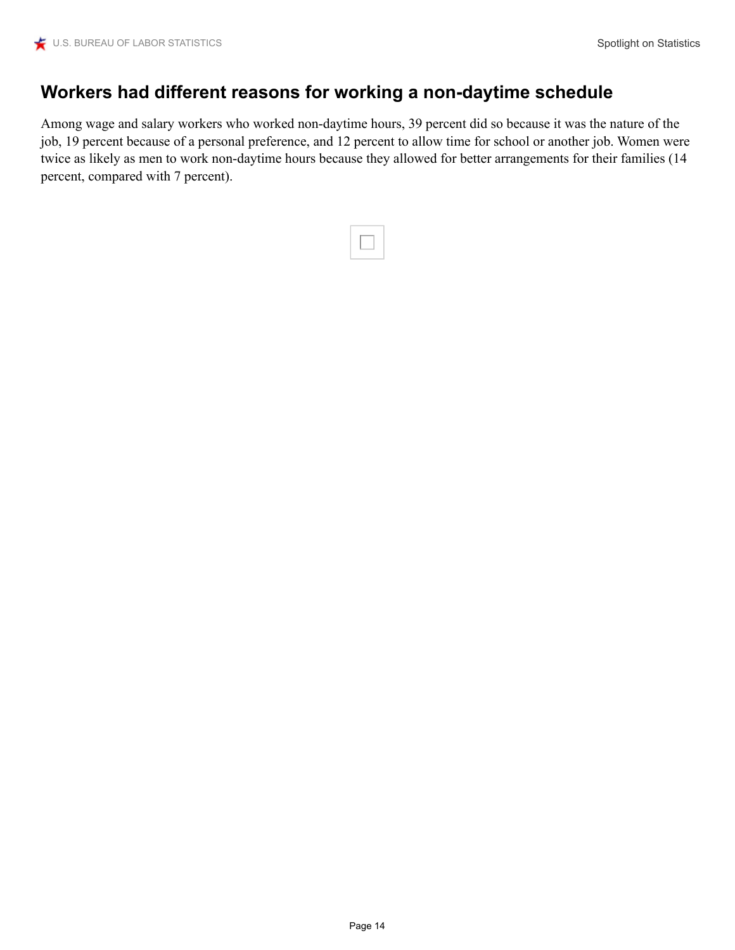# **Workers had different reasons for working a non-daytime schedule**

Among wage and salary workers who worked non-daytime hours, 39 percent did so because it was the nature of the job, 19 percent because of a personal preference, and 12 percent to allow time for school or another job. Women were twice as likely as men to work non-daytime hours because they allowed for better arrangements for their families (14 percent, compared with 7 percent).